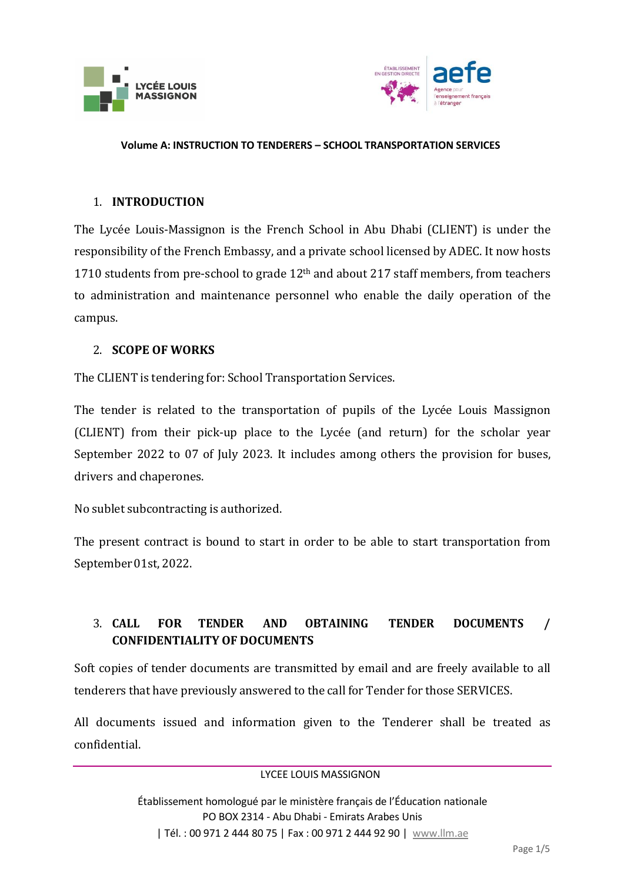



### 1. **INTRODUCTION**

The Lycée Louis-Massignon is the French School in Abu Dhabi (CLIENT) is under the responsibility of the French Embassy, and a private school licensed by ADEC. It now hosts 1710 students from pre-school to grade 12<sup>th</sup> and about 217 staff members, from teachers to administration and maintenance personnel who enable the daily operation of the campus.

### 2. **SCOPE OF WORKS**

The CLIENT is tendering for: School Transportation Services.

The tender is related to the transportation of pupils of the Lycée Louis Massignon (CLIENT) from their pick-up place to the Lycée (and return) for the scholar year September 2022 to 07 of July 2023. It includes among others the provision for buses, drivers and chaperones.

No sublet subcontracting is authorized.

The present contract is bound to start in order to be able to start transportation from September01st, 2022.

# 3. **CALL FOR TENDER AND OBTAINING TENDER DOCUMENTS / CONFIDENTIALITY OF DOCUMENTS**

Soft copies of tender documents are transmitted by email and are freely available to all tenderers that have previously answered to the call for Tender for those SERVICES.

All documents issued and information given to the Tenderer shall be treated as confidential.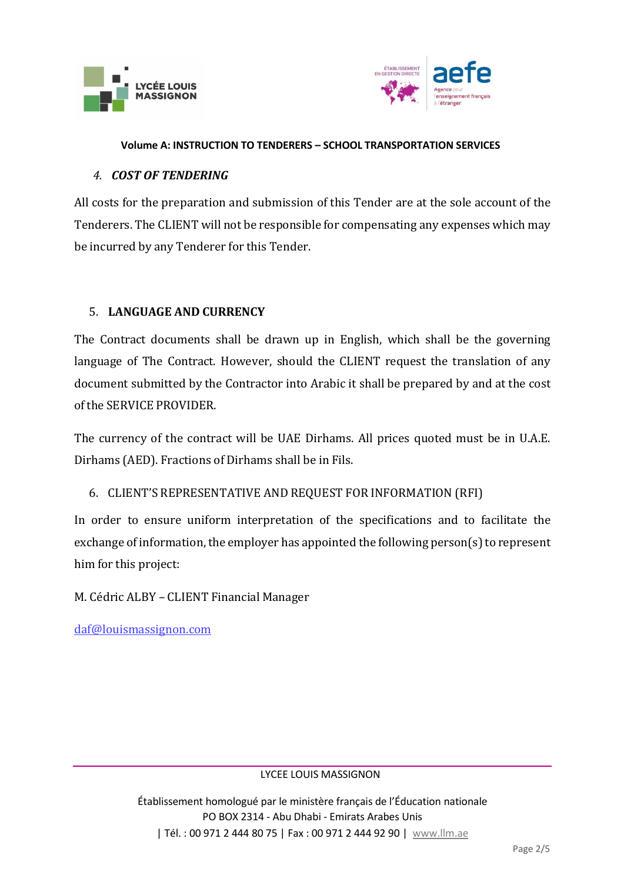



## *4. COST OF TENDERING*

All costs for the preparation and submission of this Tender are at the sole account of the Tenderers. The CLIENT will not be responsible for compensating any expenses which may be incurred by any Tenderer for this Tender.

## 5. **LANGUAGE AND CURRENCY**

The Contract documents shall be drawn up in English, which shall be the governing language of The Contract. However, should the CLIENT request the translation of any document submitted by the Contractor into Arabic it shall be prepared by and at the cost of the SERVICE PROVIDER.

The currency of the contract will be UAE Dirhams. All prices quoted must be in U.A.E. Dirhams (AED). Fractions of Dirhams shall be in Fils.

# 6. CLIENT'S REPRESENTATIVE AND REQUEST FOR INFORMATION (RFI)

In order to ensure uniform interpretation of the specifications and to facilitate the exchange of information, the employer has appointed the following person(s) to represent him for this project:

M. Cédric ALBY – CLIENT Financial Manager

[daf@louismassignon.com](mailto:daf@louismassignon.com)

LYCEE LOUIS MASSIGNON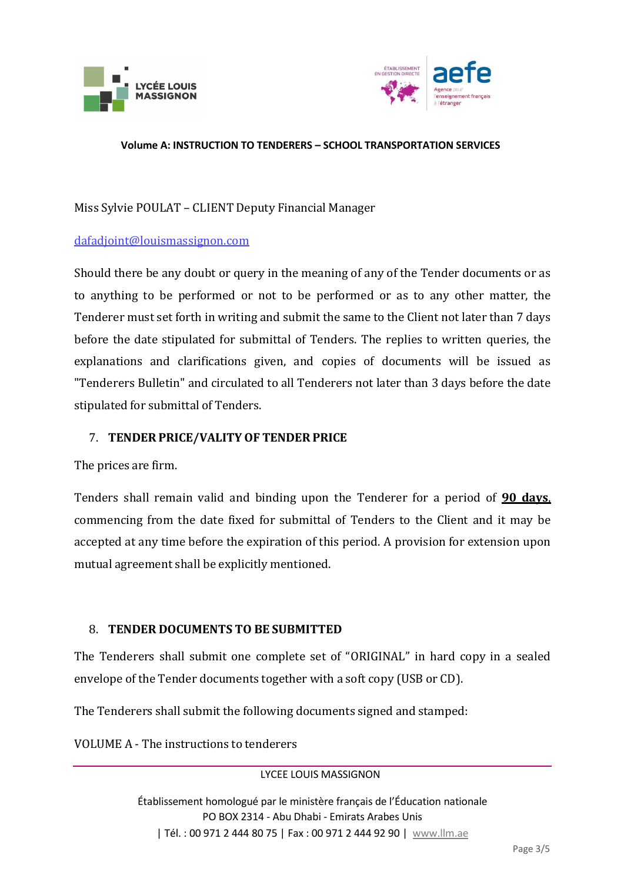



# Miss Sylvie POULAT – CLIENT Deputy Financial Manager

### [dafadjoint@louismassignon.com](mailto:dafadjoint@louismassignon.com)

Should there be any doubt or query in the meaning of any of the Tender documents or as to anything to be performed or not to be performed or as to any other matter, the Tenderer must set forth in writing and submit the same to the Client not later than 7 days before the date stipulated for submittal of Tenders. The replies to written queries, the explanations and clarifications given, and copies of documents will be issued as "Tenderers Bulletin" and circulated to all Tenderers not later than 3 days before the date stipulated for submittal of Tenders.

## 7. **TENDER PRICE/VALITY OF TENDER PRICE**

The prices are firm.

Tenders shall remain valid and binding upon the Tenderer for a period of **90 days**, commencing from the date fixed for submittal of Tenders to the Client and it may be accepted at any time before the expiration of this period. A provision for extension upon mutual agreement shall be explicitly mentioned.

## 8. **TENDER DOCUMENTS TO BE SUBMITTED**

The Tenderers shall submit one complete set of "ORIGINAL" in hard copy in a sealed envelope of the Tender documents together with a soft copy (USB or CD).

The Tenderers shall submit the following documents signed and stamped:

VOLUME A - The instructions to tenderers

LYCEE LOUIS MASSIGNON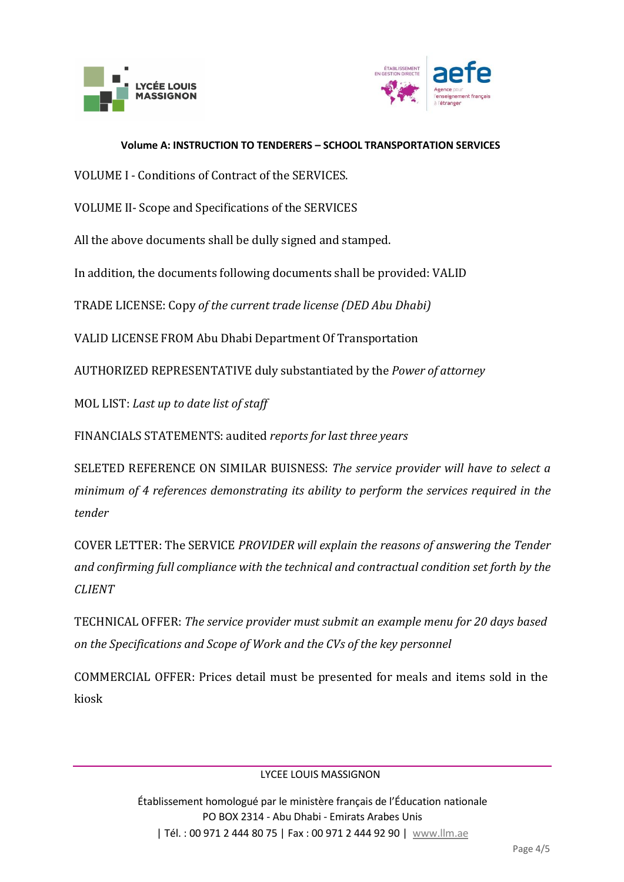



VOLUME I - Conditions of Contract of the SERVICES.

VOLUME II- Scope and Specifications of the SERVICES

All the above documents shall be dully signed and stamped.

In addition, the documents following documents shall be provided: VALID

TRADE LICENSE: Copy *of the current trade license (DED Abu Dhabi)* 

VALID LICENSE FROM Abu Dhabi Department Of Transportation

AUTHORIZED REPRESENTATIVE duly substantiated by the *Power of attorney*

MOL LIST: *Last up to date list of staff*

FINANCIALS STATEMENTS: audited *reports for last three years*

SELETED REFERENCE ON SIMILAR BUISNESS: *The service provider will have to select a minimum of 4 references demonstrating its ability to perform the services required in the tender*

COVER LETTER: The SERVICE *PROVIDER will explain the reasons of answering the Tender and confirming full compliance with the technical and contractual condition set forth by the CLIENT*

TECHNICAL OFFER: *The service provider must submit an example menu for 20 days based on the Specifications and Scope of Work and the CVs of the key personnel*

COMMERCIAL OFFER: Prices detail must be presented for meals and items sold in the kiosk

LYCEE LOUIS MASSIGNON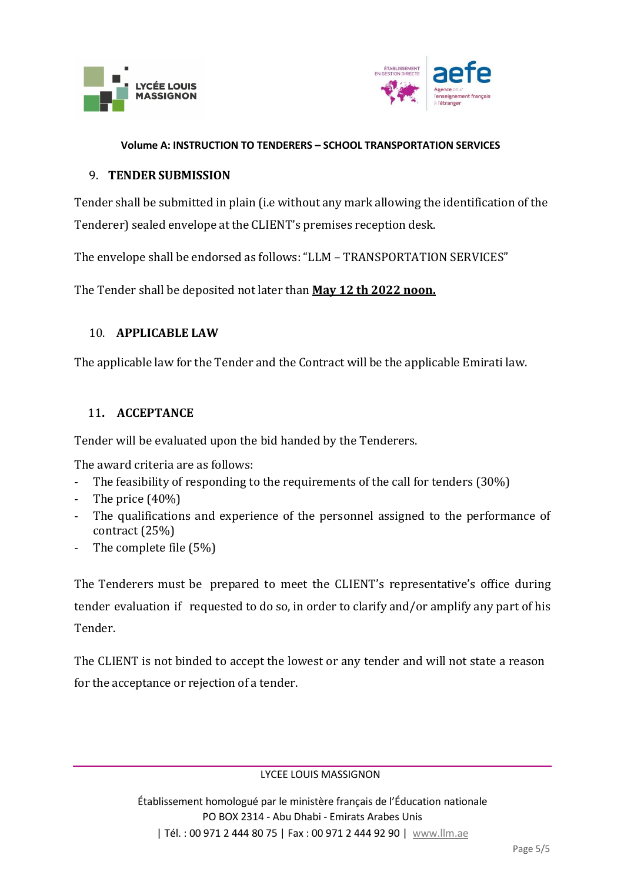



## 9. **TENDERSUBMISSION**

Tender shall be submitted in plain (i.e without any mark allowing the identification of the Tenderer) sealed envelope at the CLIENT's premises reception desk.

The envelope shall be endorsed as follows: "LLM – TRANSPORTATION SERVICES"

The Tender shall be deposited not later than **May 12 th 2022 noon.**

## 10. **APPLICABLE LAW**

The applicable law for the Tender and the Contract will be the applicable Emirati law.

## 11**. ACCEPTANCE**

Tender will be evaluated upon the bid handed by the Tenderers.

The award criteria are as follows:

- The feasibility of responding to the requirements of the call for tenders (30%)
- The price (40%)
- The qualifications and experience of the personnel assigned to the performance of contract (25%)
- The complete file (5%)

The Tenderers must be prepared to meet the CLIENT's representative's office during tender evaluation if requested to do so, in order to clarify and/or amplify any part of his Tender.

The CLIENT is not binded to accept the lowest or any tender and will not state a reason for the acceptance or rejection of a tender.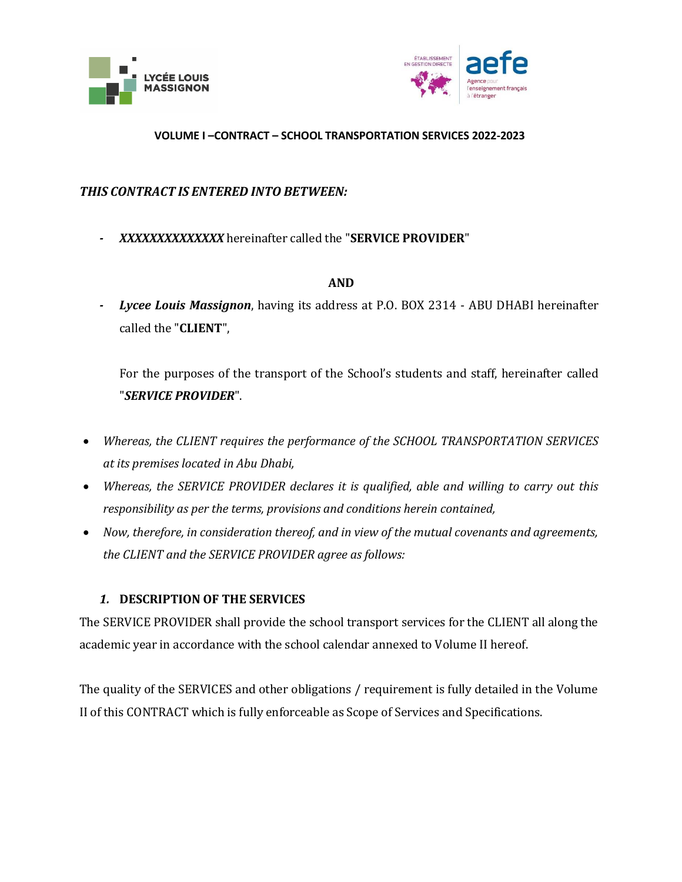



## *THIS CONTRACT IS ENTERED INTO BETWEEN:*

*- XXXXXXXXXXXXXX* hereinafter called the "**SERVICE PROVIDER**"

#### **AND**

*- Lycee Louis Massignon*, having its address at P.O. BOX 2314 - ABU DHABI hereinafter called the "**CLIENT**",

For the purposes of the transport of the School's students and staff, hereinafter called "*SERVICE PROVIDER*".

- *Whereas, the CLIENT requires the performance of the SCHOOL TRANSPORTATION SERVICES at its premises located in Abu Dhabi,*
- *Whereas, the SERVICE PROVIDER declares it is qualified, able and willing to carry out this responsibility as per the terms, provisions and conditions herein contained,*
- *Now, therefore, in consideration thereof, and in view of the mutual covenants and agreements, the CLIENT and the SERVICE PROVIDER agree as follows:*

## *1.* **DESCRIPTION OF THE SERVICES**

The SERVICE PROVIDER shall provide the school transport services for the CLIENT all along the academic year in accordance with the school calendar annexed to Volume II hereof.

The quality of the SERVICES and other obligations / requirement is fully detailed in the Volume II of this CONTRACT which is fully enforceable as Scope of Services and Specifications.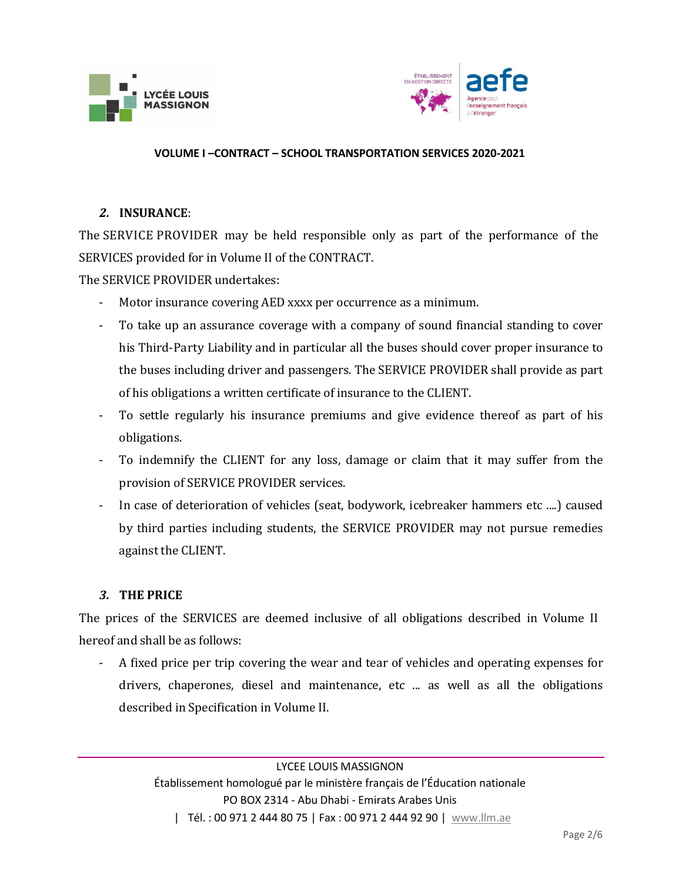



## *2.* **INSURANCE**:

The SERVICE PROVIDER may be held responsible only as part of the performance of the SERVICES provided for in Volume II of the CONTRACT.

The SERVICE PROVIDER undertakes:

- Motor insurance covering AED xxxx per occurrence as a minimum.
- To take up an assurance coverage with a company of sound financial standing to cover his Third-Party Liability and in particular all the buses should cover proper insurance to the buses including driver and passengers. The SERVICE PROVIDER shall provide as part of his obligations a written certificate of insurance to the CLIENT.
- To settle regularly his insurance premiums and give evidence thereof as part of his obligations.
- To indemnify the CLIENT for any loss, damage or claim that it may suffer from the provision of SERVICE PROVIDER services.
- In case of deterioration of vehicles (seat, bodywork, icebreaker hammers etc ....) caused by third parties including students, the SERVICE PROVIDER may not pursue remedies against the CLIENT.

## *3.* **THE PRICE**

The prices of the SERVICES are deemed inclusive of all obligations described in Volume II hereof and shall be as follows:

- A fixed price per trip covering the wear and tear of vehicles and operating expenses for drivers, chaperones, diesel and maintenance, etc ... as well as all the obligations described in Specification in Volume II.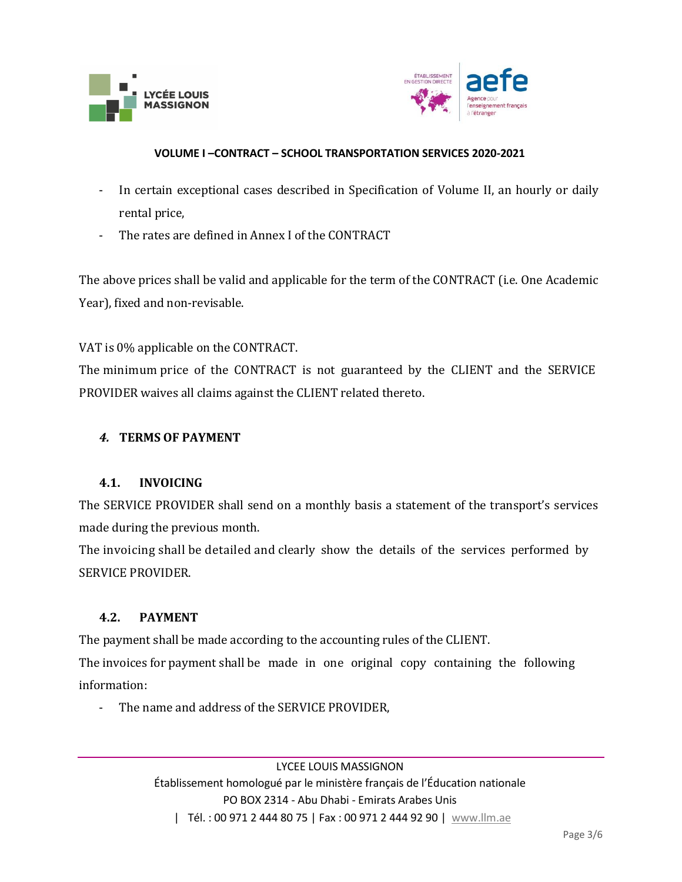



- In certain exceptional cases described in Specification of Volume II, an hourly or daily rental price,
- The rates are defined in Annex I of the CONTRACT

The above prices shall be valid and applicable for the term of the CONTRACT (i.e. One Academic Year), fixed and non-revisable.

VAT is 0% applicable on the CONTRACT.

The minimum price of the CONTRACT is not guaranteed by the CLIENT and the SERVICE PROVIDER waives all claims against the CLIENT related thereto.

## *4.* **TERMS OF PAYMENT**

## **4.1. INVOICING**

The SERVICE PROVIDER shall send on a monthly basis a statement of the transport's services made during the previous month.

The invoicing shall be detailed and clearly show the details of the services performed by SERVICE PROVIDER.

## **4.2. PAYMENT**

The payment shall be made according to the accounting rules of the CLIENT.

The invoices for payment shall be made in one original copy containing the following information:

The name and address of the SERVICE PROVIDER,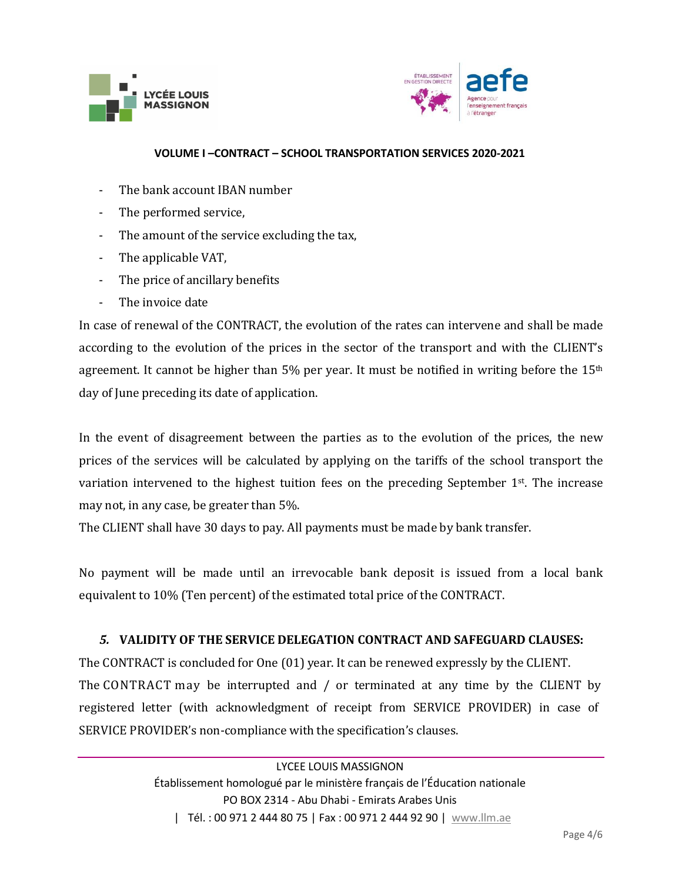



- The bank account IBAN number
- The performed service,
- The amount of the service excluding the tax,
- The applicable VAT,
- The price of ancillary benefits
- The invoice date

In case of renewal of the CONTRACT, the evolution of the rates can intervene and shall be made according to the evolution of the prices in the sector of the transport and with the CLIENT's agreement. It cannot be higher than  $5\%$  per year. It must be notified in writing before the  $15<sup>th</sup>$ day of June preceding its date of application.

In the event of disagreement between the parties as to the evolution of the prices, the new prices of the services will be calculated by applying on the tariffs of the school transport the variation intervened to the highest tuition fees on the preceding September 1<sup>st</sup>. The increase may not, in any case, be greater than 5%.

The CLIENT shall have 30 days to pay. All payments must be made by bank transfer.

No payment will be made until an irrevocable bank deposit is issued from a local bank equivalent to 10% (Ten percent) of the estimated total price of the CONTRACT.

## *5.* **VALIDITY OF THE SERVICE DELEGATION CONTRACT AND SAFEGUARD CLAUSES:**

The CONTRACT is concluded for One (01) year. It can be renewed expressly by the CLIENT. The CONTRACT may be interrupted and / or terminated at any time by the CLIENT by registered letter (with acknowledgment of receipt from SERVICE PROVIDER) in case of SERVICE PROVIDER's non-compliance with the specification's clauses.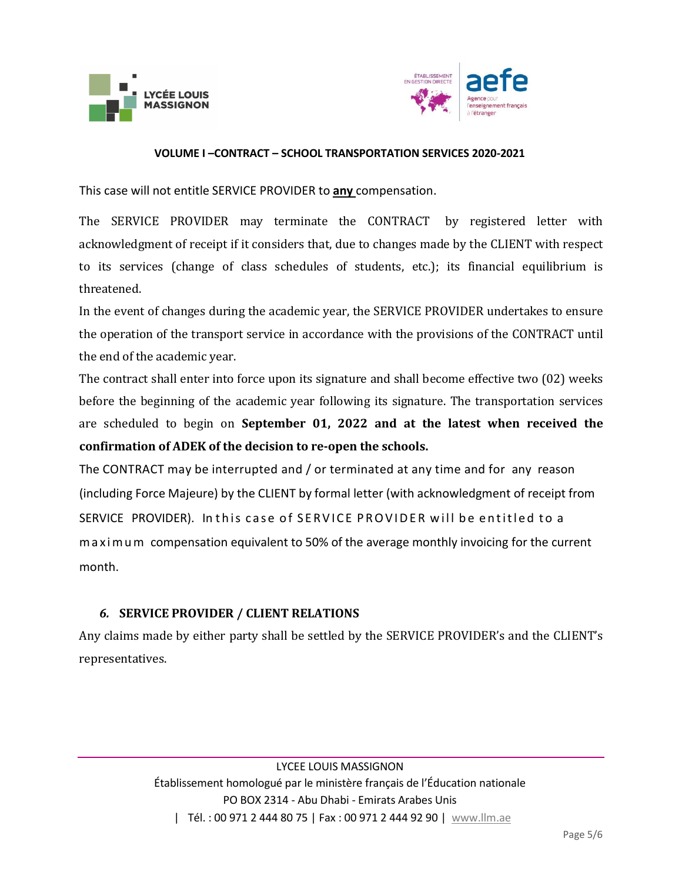



This case will not entitle SERVICE PROVIDER to **any** compensation.

The SERVICE PROVIDER may terminate the CONTRACT by registered letter with acknowledgment of receipt if it considers that, due to changes made by the CLIENT with respect to its services (change of class schedules of students, etc.); its financial equilibrium is threatened.

In the event of changes during the academic year, the SERVICE PROVIDER undertakes to ensure the operation of the transport service in accordance with the provisions of the CONTRACT until the end of the academic year.

The contract shall enter into force upon its signature and shall become effective two (02) weeks before the beginning of the academic year following its signature. The transportation services are scheduled to begin on **September 01, 2022 and at the latest when received the confirmation of ADEK of the decision to re-open the schools.**

The CONTRACT may be interrupted and / or terminated at any time and for any reason (including Force Majeure) by the CLIENT by formal letter (with acknowledgment of receipt from SERVICE PROVIDER). In this case of SERVICE PROVIDER will be entitled to a m a x i m u m compensation equivalent to 50% of the average monthly invoicing for the current month.

## *6.* **SERVICE PROVIDER / CLIENT RELATIONS**

Any claims made by either party shall be settled by the SERVICE PROVIDER's and the CLIENT's representatives.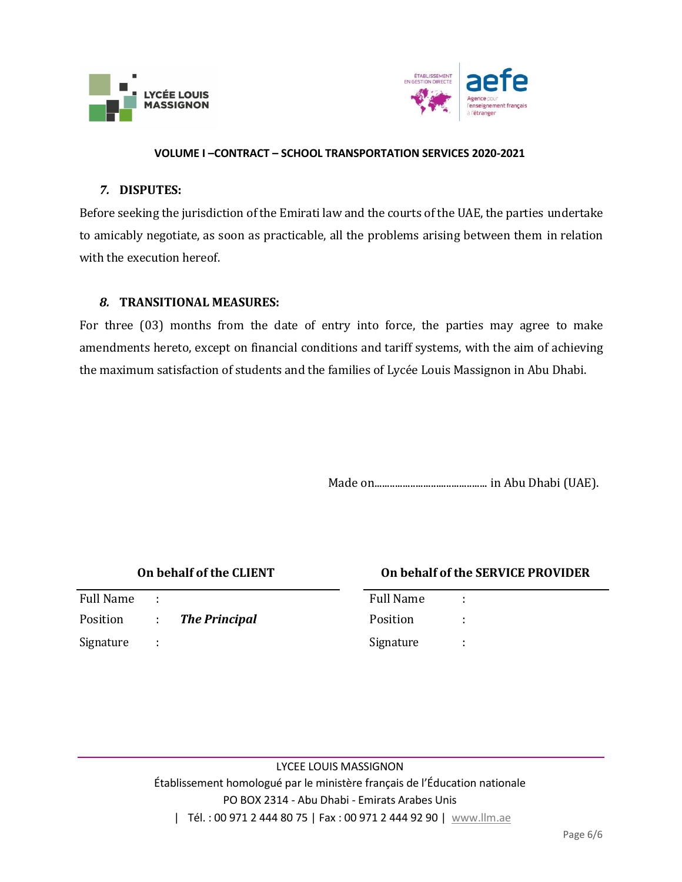



### *7.* **DISPUTES:**

Before seeking the jurisdiction of the Emirati law and the courts of the UAE, the parties undertake to amicably negotiate, as soon as practicable, all the problems arising between them in relation with the execution hereof.

### *8.* **TRANSITIONAL MEASURES:**

For three (03) months from the date of entry into force, the parties may agree to make amendments hereto, except on financial conditions and tariff systems, with the aim of achieving the maximum satisfaction of students and the families of Lycée Louis Massignon in Abu Dhabi.

Made on............................................ in Abu Dhabi (UAE).

| On behalf of the CLIENT |               |                      |                  | On behalf of the SERVICE PROVIDER |  |
|-------------------------|---------------|----------------------|------------------|-----------------------------------|--|
| <b>Full Name</b>        | ÷             |                      | <b>Full Name</b> |                                   |  |
| Position                | $\mathcal{L}$ | <b>The Principal</b> | Position         |                                   |  |
| Signature               | ÷             |                      | Signature        |                                   |  |

LYCEE LOUIS MASSIGNON Établissement homologué par le ministère français de l'Éducation nationale PO BOX 2314 - Abu Dhabi - Emirats Arabes Unis | Tél.: 00 971 2 444 80 75 | Fax: 00 971 2 444 92 90 | [www.llm.ae](http://www.llm.ae/)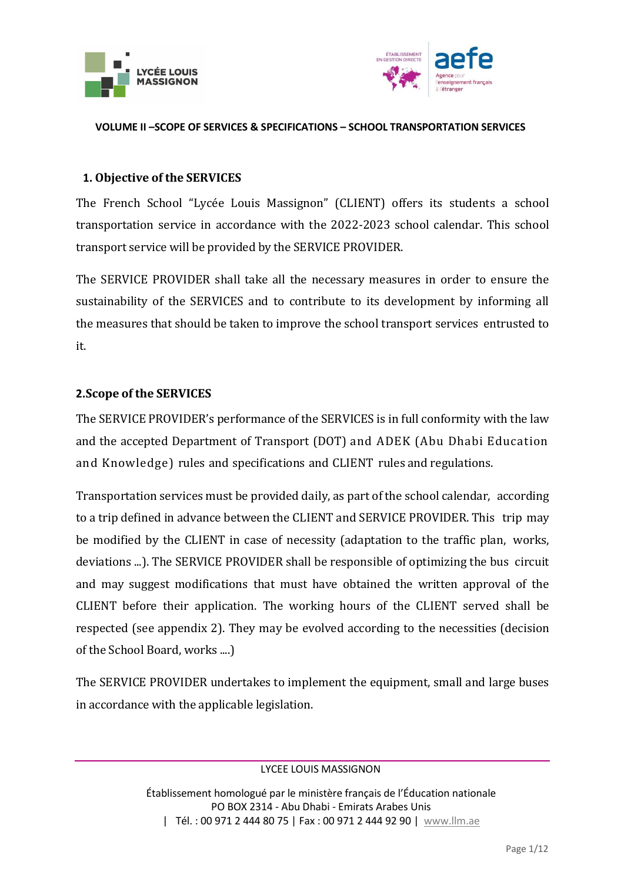



# **1. Objective of the SERVICES**

The French School "Lycée Louis Massignon" (CLIENT) offers its students a school transportation service in accordance with the 2022-2023 school calendar. This school transport service will be provided by the SERVICE PROVIDER.

The SERVICE PROVIDER shall take all the necessary measures in order to ensure the sustainability of the SERVICES and to contribute to its development by informing all the measures that should be taken to improve the school transport services entrusted to it.

## **2.Scope of the SERVICES**

The SERVICE PROVIDER's performance of the SERVICES is in full conformity with the law and the accepted Department of Transport (DOT) and ADEK (Abu Dhabi Education and Knowledge) rules and specifications and CLIENT rules and regulations.

Transportation services must be provided daily, as part of the school calendar, according to a trip defined in advance between the CLIENT and SERVICE PROVIDER. This trip may be modified by the CLIENT in case of necessity (adaptation to the traffic plan, works, deviations ...). The SERVICE PROVIDER shall be responsible of optimizing the bus circuit and may suggest modifications that must have obtained the written approval of the CLIENT before their application. The working hours of the CLIENT served shall be respected (see appendix 2). They may be evolved according to the necessities (decision of the School Board, works ....)

The SERVICE PROVIDER undertakes to implement the equipment, small and large buses in accordance with the applicable legislation.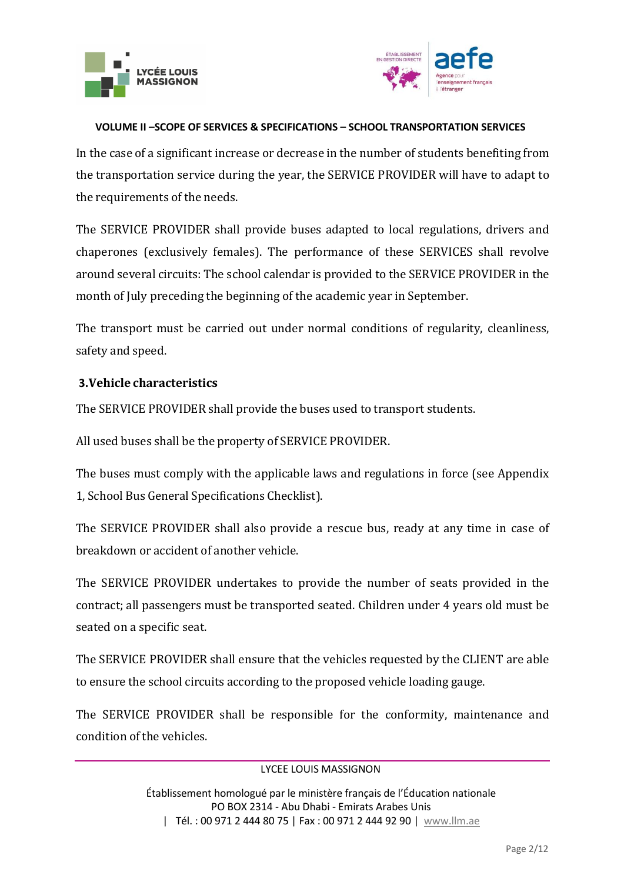



In the case of a significant increase or decrease in the number of students benefiting from the transportation service during the year, the SERVICE PROVIDER will have to adapt to the requirements of the needs.

The SERVICE PROVIDER shall provide buses adapted to local regulations, drivers and chaperones (exclusively females). The performance of these SERVICES shall revolve around several circuits: The school calendar is provided to the SERVICE PROVIDER in the month of July preceding the beginning of the academic year in September.

The transport must be carried out under normal conditions of regularity, cleanliness, safety and speed.

## **3.Vehicle characteristics**

The SERVICE PROVIDER shall provide the buses used to transport students.

All used buses shall be the property of SERVICE PROVIDER.

The buses must comply with the applicable laws and regulations in force (see Appendix 1, School Bus General Specifications Checklist).

The SERVICE PROVIDER shall also provide a rescue bus, ready at any time in case of breakdown or accident of another vehicle.

The SERVICE PROVIDER undertakes to provide the number of seats provided in the contract; all passengers must be transported seated. Children under 4 years old must be seated on a specific seat.

The SERVICE PROVIDER shall ensure that the vehicles requested by the CLIENT are able to ensure the school circuits according to the proposed vehicle loading gauge.

The SERVICE PROVIDER shall be responsible for the conformity, maintenance and condition of the vehicles.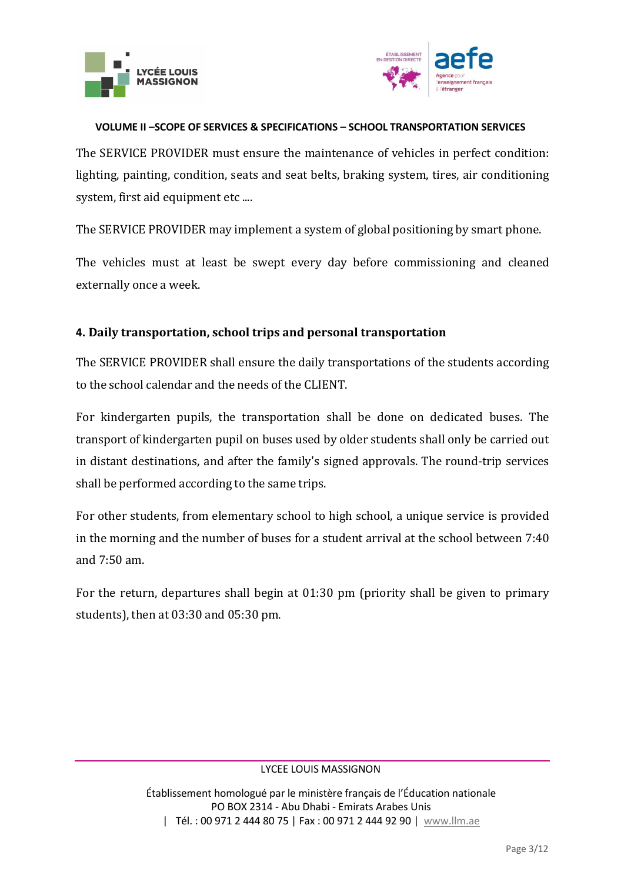



The SERVICE PROVIDER must ensure the maintenance of vehicles in perfect condition: lighting, painting, condition, seats and seat belts, braking system, tires, air conditioning system, first aid equipment etc ....

The SERVICE PROVIDER may implement a system of global positioning by smart phone.

The vehicles must at least be swept every day before commissioning and cleaned externally once a week.

## **4. Daily transportation, school trips and personal transportation**

The SERVICE PROVIDER shall ensure the daily transportations of the students according to the school calendar and the needs of the CLIENT.

For kindergarten pupils, the transportation shall be done on dedicated buses. The transport of kindergarten pupil on buses used by older students shall only be carried out in distant destinations, and after the family's signed approvals. The round-trip services shall be performed according to the same trips.

For other students, from elementary school to high school, a unique service is provided in the morning and the number of buses for a student arrival at the school between 7:40 and 7:50 am.

For the return, departures shall begin at 01:30 pm (priority shall be given to primary students), then at 03:30 and 05:30 pm.

#### LYCEE LOUIS MASSIGNON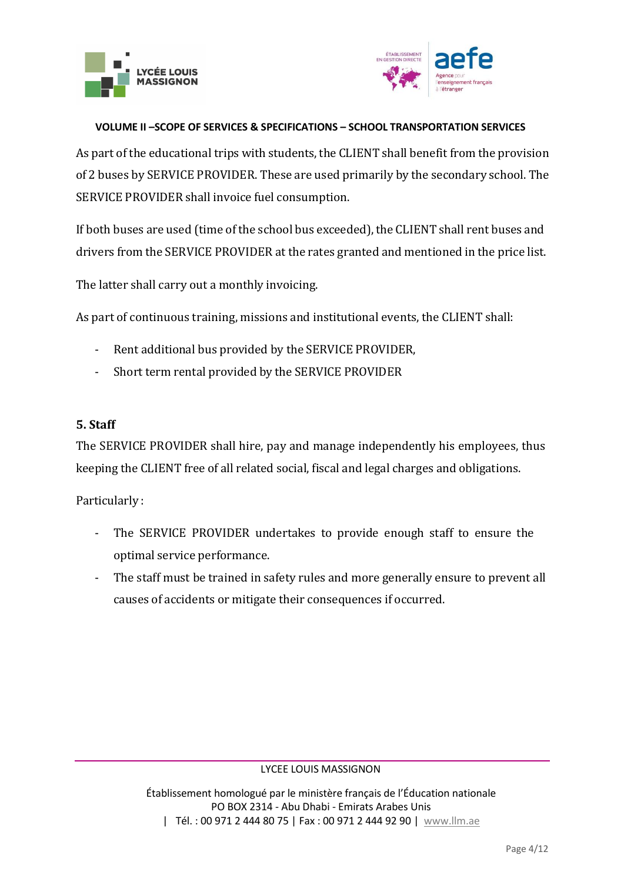



As part of the educational trips with students, the CLIENT shall benefit from the provision of 2 buses by SERVICE PROVIDER. These are used primarily by the secondary school. The SERVICE PROVIDER shall invoice fuel consumption.

If both buses are used (time of the school bus exceeded), the CLIENT shall rent buses and drivers from the SERVICE PROVIDER at the rates granted and mentioned in the price list.

The latter shall carry out a monthly invoicing.

As part of continuous training, missions and institutional events, the CLIENT shall:

- Rent additional bus provided by the SERVICE PROVIDER,
- Short term rental provided by the SERVICE PROVIDER

## **5. Staff**

The SERVICE PROVIDER shall hire, pay and manage independently his employees, thus keeping the CLIENT free of all related social, fiscal and legal charges and obligations.

Particularly :

- The SERVICE PROVIDER undertakes to provide enough staff to ensure the optimal service performance.
- The staff must be trained in safety rules and more generally ensure to prevent all causes of accidents or mitigate their consequences if occurred.

### LYCEE LOUIS MASSIGNON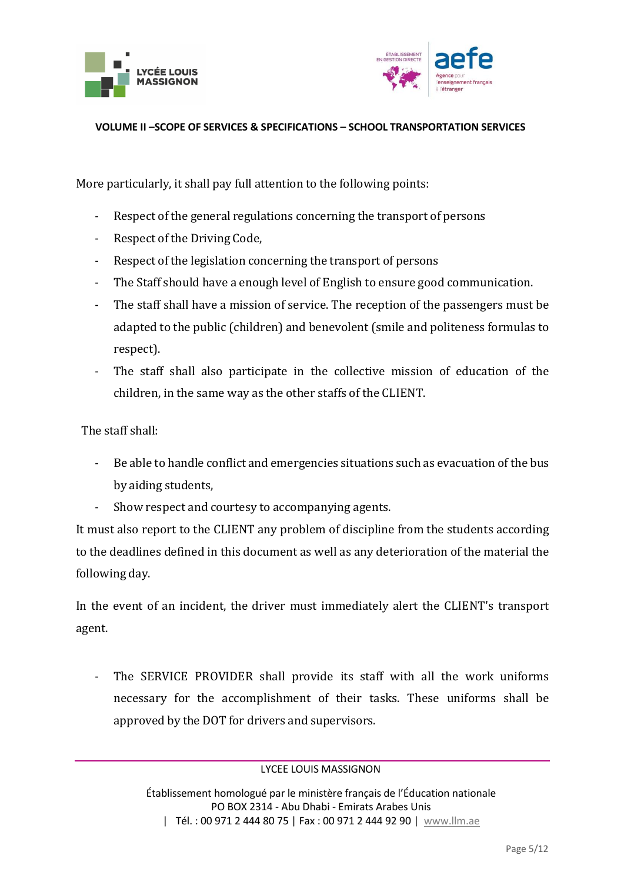



More particularly, it shall pay full attention to the following points:

- Respect of the general regulations concerning the transport of persons
- Respect of the Driving Code,
- Respect of the legislation concerning the transport of persons
- The Staff should have a enough level of English to ensure good communication.
- The staff shall have a mission of service. The reception of the passengers must be adapted to the public (children) and benevolent (smile and politeness formulas to respect).
- The staff shall also participate in the collective mission of education of the children, in the same way as the other staffs of the CLIENT.

The staff shall:

- Be able to handle conflict and emergencies situations such as evacuation of the bus by aiding students,
- Show respect and courtesy to accompanying agents.

It must also report to the CLIENT any problem of discipline from the students according to the deadlines defined in this document as well as any deterioration of the material the following day.

In the event of an incident, the driver must immediately alert the CLIENT's transport agent.

- The SERVICE PROVIDER shall provide its staff with all the work uniforms necessary for the accomplishment of their tasks. These uniforms shall be approved by the DOT for drivers and supervisors.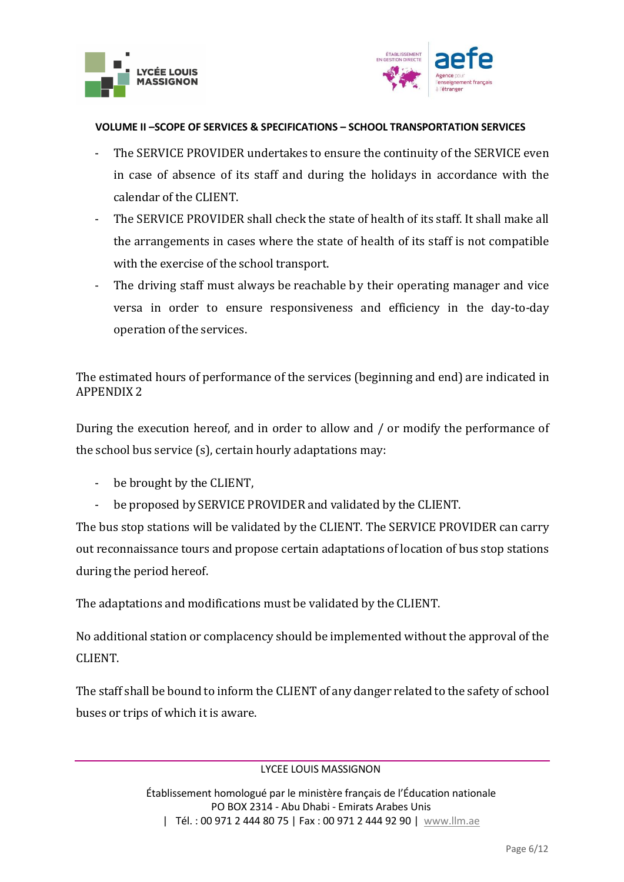



- The SERVICE PROVIDER undertakes to ensure the continuity of the SERVICE even in case of absence of its staff and during the holidays in accordance with the calendar of the CLIENT.
- The SERVICE PROVIDER shall check the state of health of its staff. It shall make all the arrangements in cases where the state of health of its staff is not compatible with the exercise of the school transport.
- The driving staff must always be reachable by their operating manager and vice versa in order to ensure responsiveness and efficiency in the day-to-day operation of the services.

The estimated hours of performance of the services (beginning and end) are indicated in APPENDIX 2

During the execution hereof, and in order to allow and / or modify the performance of the school bus service (s), certain hourly adaptations may:

- be brought by the CLIENT,
- be proposed by SERVICE PROVIDER and validated by the CLIENT.

The bus stop stations will be validated by the CLIENT. The SERVICE PROVIDER can carry out reconnaissance tours and propose certain adaptations of location of bus stop stations during the period hereof.

The adaptations and modifications must be validated by the CLIENT.

No additional station or complacency should be implemented without the approval of the CLIENT.

The staff shall be bound to inform the CLIENT of any danger related to the safety of school buses or trips of which it is aware.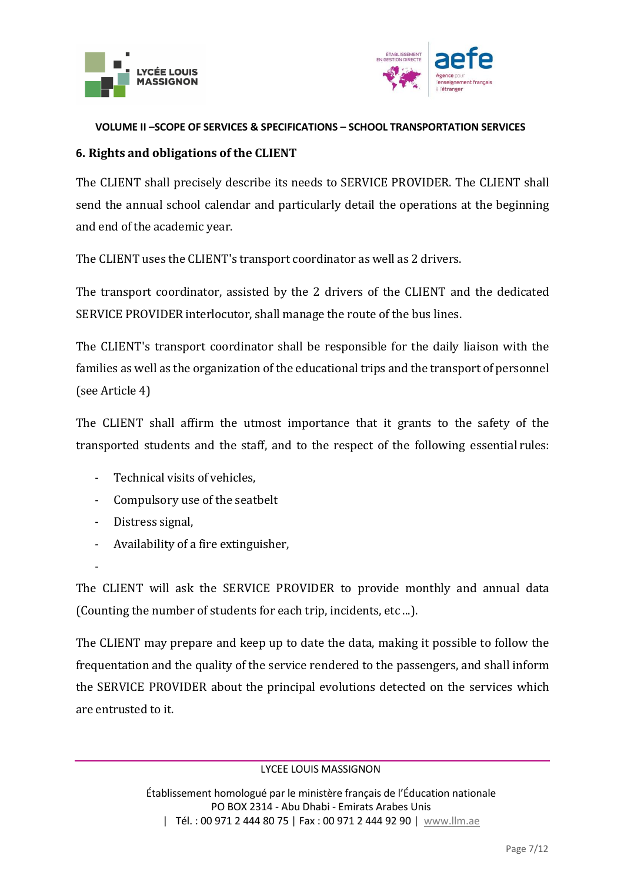



# **6. Rights and obligations of the CLIENT**

The CLIENT shall precisely describe its needs to SERVICE PROVIDER. The CLIENT shall send the annual school calendar and particularly detail the operations at the beginning and end of the academic year.

The CLIENT uses the CLIENT's transport coordinator as well as 2 drivers.

The transport coordinator, assisted by the 2 drivers of the CLIENT and the dedicated SERVICE PROVIDER interlocutor, shall manage the route of the bus lines.

The CLIENT's transport coordinator shall be responsible for the daily liaison with the families as well as the organization of the educational trips and the transport of personnel (see Article 4)

The CLIENT shall affirm the utmost importance that it grants to the safety of the transported students and the staff, and to the respect of the following essential rules:

- Technical visits of vehicles,
- Compulsory use of the seatbelt
- Distress signal,
- Availability of a fire extinguisher,

-

The CLIENT will ask the SERVICE PROVIDER to provide monthly and annual data (Counting the number of students for each trip, incidents, etc ...).

The CLIENT may prepare and keep up to date the data, making it possible to follow the frequentation and the quality of the service rendered to the passengers, and shall inform the SERVICE PROVIDER about the principal evolutions detected on the services which are entrusted to it.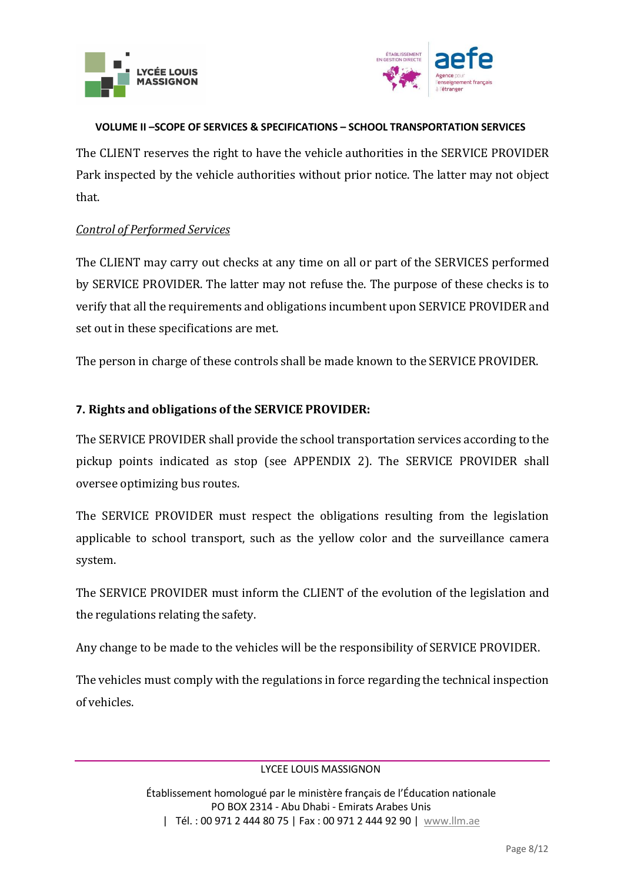



The CLIENT reserves the right to have the vehicle authorities in the SERVICE PROVIDER Park inspected by the vehicle authorities without prior notice. The latter may not object that.

## *Control of Performed Services*

The CLIENT may carry out checks at any time on all or part of the SERVICES performed by SERVICE PROVIDER. The latter may not refuse the. The purpose of these checks is to verify that all the requirements and obligations incumbent upon SERVICE PROVIDER and set out in these specifications are met.

The person in charge of these controls shall be made known to the SERVICE PROVIDER.

# **7. Rights and obligations of the SERVICE PROVIDER:**

The SERVICE PROVIDER shall provide the school transportation services according to the pickup points indicated as stop (see APPENDIX 2). The SERVICE PROVIDER shall oversee optimizing bus routes.

The SERVICE PROVIDER must respect the obligations resulting from the legislation applicable to school transport, such as the yellow color and the surveillance camera system.

The SERVICE PROVIDER must inform the CLIENT of the evolution of the legislation and the regulations relating the safety.

Any change to be made to the vehicles will be the responsibility of SERVICE PROVIDER.

The vehicles must comply with the regulations in force regarding the technical inspection of vehicles.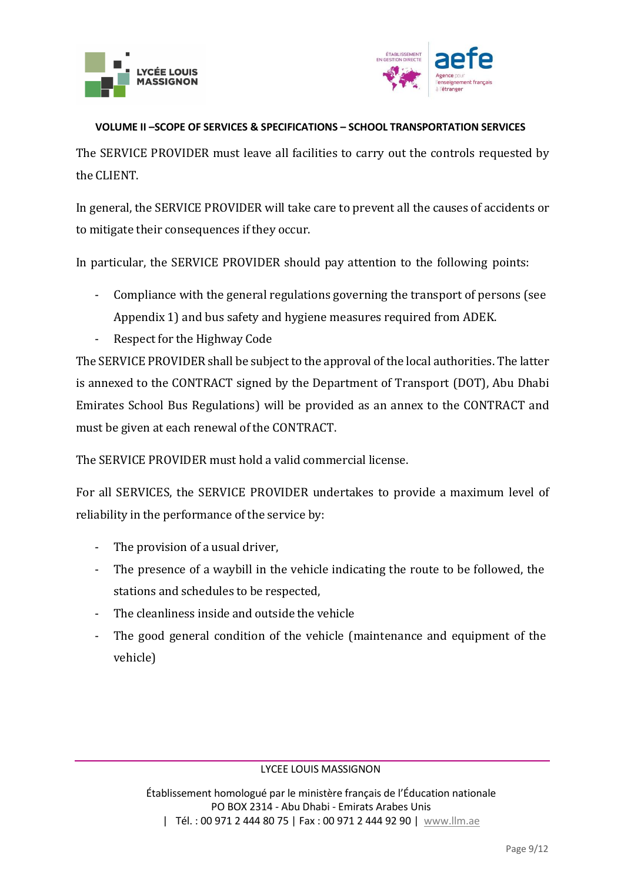



The SERVICE PROVIDER must leave all facilities to carry out the controls requested by the CLIENT.

In general, the SERVICE PROVIDER will take care to prevent all the causes of accidents or to mitigate their consequences if they occur.

In particular, the SERVICE PROVIDER should pay attention to the following points:

- Compliance with the general regulations governing the transport of persons (see Appendix 1) and bus safety and hygiene measures required from ADEK.
- Respect for the Highway Code

The SERVICE PROVIDER shall be subject to the approval of the local authorities. The latter is annexed to the CONTRACT signed by the Department of Transport (DOT), Abu Dhabi Emirates School Bus Regulations) will be provided as an annex to the CONTRACT and must be given at each renewal of the CONTRACT.

The SERVICE PROVIDER must hold a valid commercial license.

For all SERVICES, the SERVICE PROVIDER undertakes to provide a maximum level of reliability in the performance of the service by:

- The provision of a usual driver,
- The presence of a waybill in the vehicle indicating the route to be followed, the stations and schedules to be respected,
- The cleanliness inside and outside the vehicle
- The good general condition of the vehicle (maintenance and equipment of the vehicle)

#### LYCEE LOUIS MASSIGNON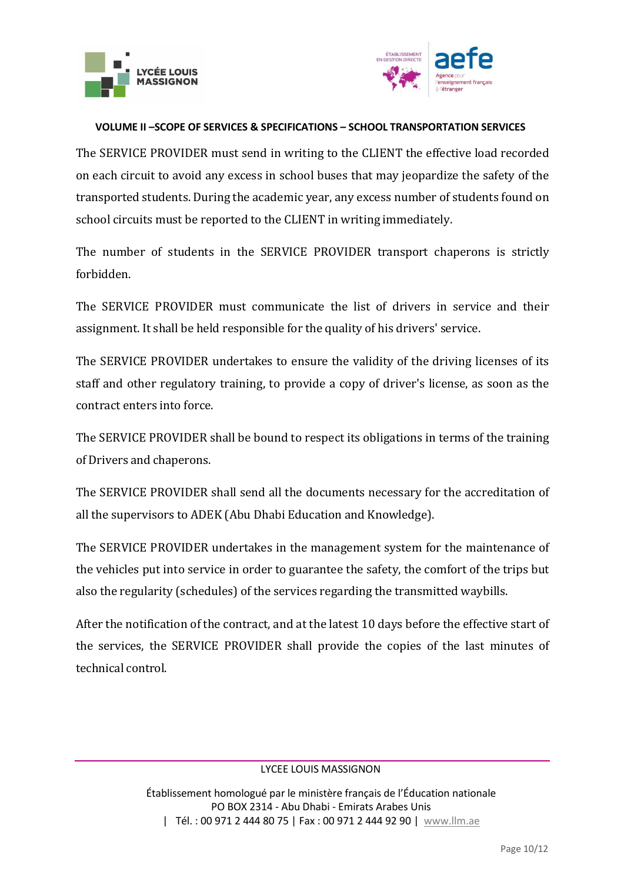



The SERVICE PROVIDER must send in writing to the CLIENT the effective load recorded on each circuit to avoid any excess in school buses that may jeopardize the safety of the transported students. During the academic year, any excess number of students found on school circuits must be reported to the CLIENT in writing immediately.

The number of students in the SERVICE PROVIDER transport chaperons is strictly forbidden.

The SERVICE PROVIDER must communicate the list of drivers in service and their assignment. It shall be held responsible for the quality of his drivers' service.

The SERVICE PROVIDER undertakes to ensure the validity of the driving licenses of its staff and other regulatory training, to provide a copy of driver's license, as soon as the contract enters into force.

The SERVICE PROVIDER shall be bound to respect its obligations in terms of the training of Drivers and chaperons.

The SERVICE PROVIDER shall send all the documents necessary for the accreditation of all the supervisors to ADEK (Abu Dhabi Education and Knowledge).

The SERVICE PROVIDER undertakes in the management system for the maintenance of the vehicles put into service in order to guarantee the safety, the comfort of the trips but also the regularity (schedules) of the services regarding the transmitted waybills.

After the notification of the contract, and at the latest 10 days before the effective start of the services, the SERVICE PROVIDER shall provide the copies of the last minutes of technical control.

#### LYCEE LOUIS MASSIGNON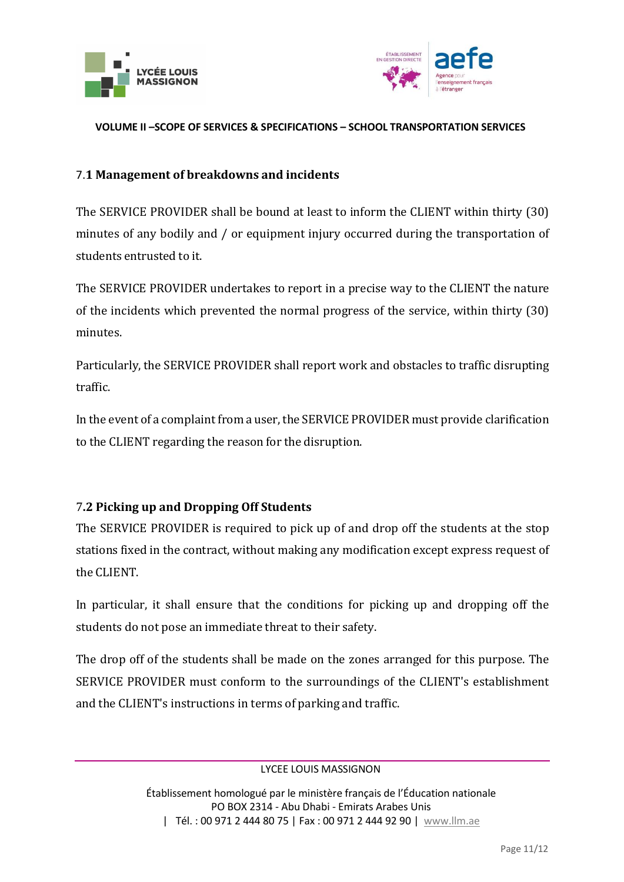



## 7.**1 Management of breakdowns and incidents**

The SERVICE PROVIDER shall be bound at least to inform the CLIENT within thirty (30) minutes of any bodily and / or equipment injury occurred during the transportation of students entrusted to it.

The SERVICE PROVIDER undertakes to report in a precise way to the CLIENT the nature of the incidents which prevented the normal progress of the service, within thirty (30) minutes.

Particularly, the SERVICE PROVIDER shall report work and obstacles to traffic disrupting traffic.

In the event of a complaint from a user, the SERVICE PROVIDER must provide clarification to the CLIENT regarding the reason for the disruption.

## 7**.2 Picking up and Dropping Off Students**

The SERVICE PROVIDER is required to pick up of and drop off the students at the stop stations fixed in the contract, without making any modification except express request of the CLIENT.

In particular, it shall ensure that the conditions for picking up and dropping off the students do not pose an immediate threat to their safety.

The drop off of the students shall be made on the zones arranged for this purpose. The SERVICE PROVIDER must conform to the surroundings of the CLIENT's establishment and the CLIENT's instructions in terms of parking and traffic.